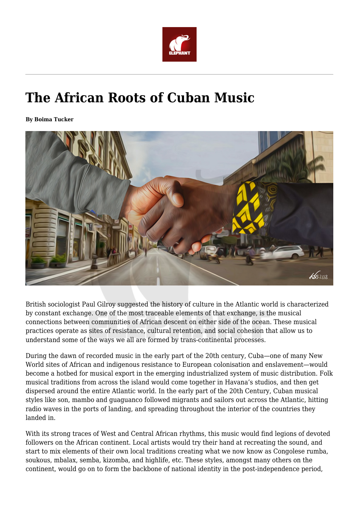

## **The African Roots of Cuban Music**

**By Boima Tucker**



British sociologist Paul Gilroy suggested the history of culture in the Atlantic world is characterized by constant exchange. One of the most traceable elements of that exchange, is the musical connections between communities of African descent on either side of the ocean. These musical practices operate as sites of resistance, cultural retention, and social cohesion that allow us to understand some of the ways we all are formed by trans-continental processes.

During the dawn of recorded music in the early part of the 20th century, Cuba—one of many New World sites of African and indigenous resistance to European colonisation and enslavement—would become a hotbed for musical export in the emerging industrialized system of music distribution. Folk musical traditions from across the island would come together in Havana's studios, and then get dispersed around the entire Atlantic world. In the early part of the 20th Century, Cuban musical styles like son, mambo and guaguanco followed migrants and sailors out across the Atlantic, hitting radio waves in the ports of landing, and spreading throughout the interior of the countries they landed in.

With its strong traces of West and Central African rhythms, this music would find legions of devoted followers on the African continent. Local artists would try their hand at recreating the sound, and start to mix elements of their own local traditions creating what we now know as Congolese rumba, soukous, mbalax, semba, kizomba, and highlife, etc. These styles, amongst many others on the continent, would go on to form the backbone of national identity in the post-independence period,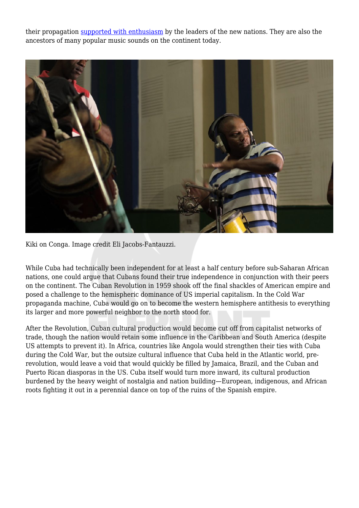their propagation [supported with enthusiasm](https://www.theguardian.com/music/2003/jul/03/artsfeatures.popandrock) by the leaders of the new nations. They are also the ancestors of many popular music sounds on the continent today.



Kiki on Conga. Image credit Eli Jacobs-Fantauzzi.

While Cuba had technically been independent for at least a half century before sub-Saharan African nations, one could argue that Cubans found their true independence in conjunction with their peers on the continent. The Cuban Revolution in 1959 shook off the final shackles of American empire and posed a challenge to the hemispheric dominance of US imperial capitalism. In the Cold War propaganda machine, Cuba would go on to become the western hemisphere antithesis to everything its larger and more powerful neighbor to the north stood for.

After the Revolution, Cuban cultural production would become cut off from capitalist networks of trade, though the nation would retain some influence in the Caribbean and South America (despite US attempts to prevent it). In Africa, countries like Angola would strengthen their ties with Cuba during the Cold War, but the outsize cultural influence that Cuba held in the Atlantic world, prerevolution, would leave a void that would quickly be filled by Jamaica, Brazil, and the Cuban and Puerto Rican diasporas in the US. Cuba itself would turn more inward, its cultural production burdened by the heavy weight of nostalgia and nation building—European, indigenous, and African roots fighting it out in a perennial dance on top of the ruins of the Spanish empire.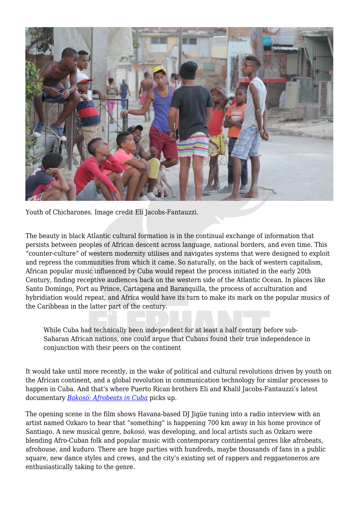

Youth of Chicharones. Image credit Eli Jacobs-Fantauzzi.

The beauty in black Atlantic cultural formation is in the continual exchange of information that persists between peoples of African descent across language, national borders, and even time. This "counter-culture" of western modernity utilises and navigates systems that were designed to exploit and repress the communities from which it came. So naturally, on the back of western capitalism, African popular music influenced by Cuba would repeat the process initiated in the early 20th Century, finding receptive audiences back on the western side of the Atlantic Ocean. In places like Santo Domingo, Port au Prince, Cartagena and Baranquilla, the process of acculturation and hybridiation would repeat, and Africa would have its turn to make its mark on the popular musics of the Caribbean in the latter part of the century.

While Cuba had technically been independent for at least a half century before sub-Saharan African nations, one could argue that Cubans found their true independence in conjunction with their peers on the continent

It would take until more recently, in the wake of political and cultural revolutions driven by youth on the African continent, and a global revolution in communication technology for similar processes to happen in Cuba. And that's where Puerto Rican brothers Eli and Khalil Jacobs-Fantauzzi's latest documentary *[Bakosó: Afrobeats in Cuba](https://vimeo.com/303543164)* picks up.

The opening scene in the film shows Havana-based DJ Jigüe tuning into a radio interview with an artist named Ozkaro to hear that "something" is happening 700 km away in his home province of Santiago. A new musical genre, *bakosó*, was developing, and local artists such as Ozkaro were blending Afro-Cuban folk and popular music with contemporary continental genres like afrobeats, afrohouse, and kuduro. There are huge parties with hundreds, maybe thousands of fans in a public square, new dance styles and crews, and the city's existing set of rappers and reggaetoneros are enthusiastically taking to the genre.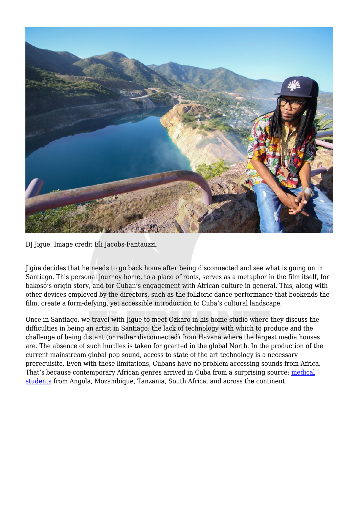

DJ Jigüe. Image credit Eli Jacobs-Fantauzzi.

Jigüe decides that he needs to go back home after being disconnected and see what is going on in Santiago. This personal journey home, to a place of roots, serves as a metaphor in the film itself, for bakosó's origin story, and for Cuban's engagement with African culture in general. This, along with other devices employed by the directors, such as the folkloric dance performance that bookends the film, create a form-defying, yet accessible introduction to Cuba's cultural landscape.

Once in Santiago, we travel with Jigüe to meet Ozkaro in his home studio where they discuss the difficulties in being an artist in Santiago: the lack of technology with which to produce and the challenge of being distant (or rather disconnected) from Havana where the largest media houses are. The absence of such hurdles is taken for granted in the global North. In the production of the current mainstream global pop sound, access to state of the art technology is a necessary prerequisite. Even with these limitations, Cubans have no problem accessing sounds from Africa. That's because contemporary African genres arrived in Cuba from a surprising source: [medical](https://www.newyorker.com/science/elements/why-african-american-doctors-are-choosing-to-study-medicine-in-cuba) [students](https://www.newyorker.com/science/elements/why-african-american-doctors-are-choosing-to-study-medicine-in-cuba) from Angola, Mozambique, Tanzania, South Africa, and across the continent.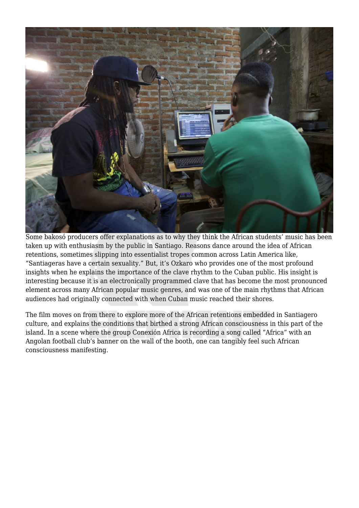

Some bakosó producers offer explanations as to why they think the African students' music has been taken up with enthusiasm by the public in Santiago. Reasons dance around the idea of African retentions, sometimes slipping into essentialist tropes common across Latin America like, "Santiageras have a certain sexuality." But, it's Ozkaro who provides one of the most profound insights when he explains the importance of the clave rhythm to the Cuban public. His insight is interesting because it is an electronically programmed clave that has become the most pronounced element across many African popular music genres, and was one of the main rhythms that African audiences had originally connected with when Cuban music reached their shores.

The film moves on from there to explore more of the African retentions embedded in Santiagero culture, and explains the conditions that birthed a strong African consciousness in this part of the island. In a scene where the group Conexión Africa is recording a song called "Africa" with an Angolan football club's banner on the wall of the booth, one can tangibly feel such African consciousness manifesting.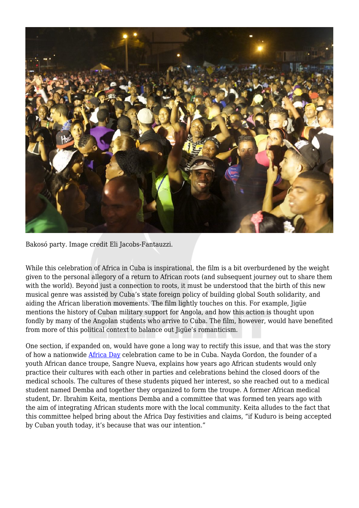

Bakosó party. Image credit Eli Jacobs-Fantauzzi.

While this celebration of Africa in Cuba is inspirational, the film is a bit overburdened by the weight given to the personal allegory of a return to African roots (and subsequent journey out to share them with the world). Beyond just a connection to roots, it must be understood that the birth of this new musical genre was assisted by Cuba's state foreign policy of building global South solidarity, and aiding the African liberation movements. The film lightly touches on this. For example, Jigüe mentions the history of Cuban military support for Angola, and how this action is thought upon fondly by many of the Angolan students who arrive to Cuba. The film, however, would have benefited from more of this political context to balance out Jigüe's romanticism.

One section, if expanded on, would have gone a long way to rectify this issue, and that was the story of how a nationwide [Africa Day](https://en.wikipedia.org/wiki/Africa_Day) celebration came to be in Cuba. Nayda Gordon, the founder of a youth African dance troupe, Sangre Nueva, explains how years ago African students would only practice their cultures with each other in parties and celebrations behind the closed doors of the medical schools. The cultures of these students piqued her interest, so she reached out to a medical student named Demba and together they organized to form the troupe. A former African medical student, Dr. Ibrahim Keita, mentions Demba and a committee that was formed ten years ago with the aim of integrating African students more with the local community. Keita alludes to the fact that this committee helped bring about the Africa Day festivities and claims, "if Kuduro is being accepted by Cuban youth today, it's because that was our intention."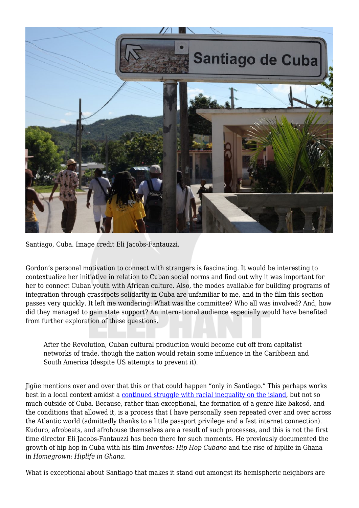

Santiago, Cuba. Image credit Eli Jacobs-Fantauzzi.

Gordon's personal motivation to connect with strangers is fascinating. It would be interesting to contextualize her initiative in relation to Cuban social norms and find out why it was important for her to connect Cuban youth with African culture. Also, the modes available for building programs of integration through grassroots solidarity in Cuba are unfamiliar to me, and in the film this section passes very quickly. It left me wondering: What was the committee? Who all was involved? And, how did they managed to gain state support? An international audience especially would have benefited from further exploration of these questions.

After the Revolution, Cuban cultural production would become cut off from capitalist networks of trade, though the nation would retain some influence in the Caribbean and South America (despite US attempts to prevent it).

Jigüe mentions over and over that this or that could happen "only in Santiago." This perhaps works best in a local context amidst a [continued struggle with racial inequality on the island,](https://africasacountry.com/2019/10/the-place-of-race-in-cuba) but not so much outside of Cuba. Because, rather than exceptional, the formation of a genre like bakosó, and the conditions that allowed it, is a process that I have personally seen repeated over and over across the Atlantic world (admittedly thanks to a little passport privilege and a fast internet connection). Kuduro, afrobeats, and afrohouse themselves are a result of such processes, and this is not the first time director Eli Jacobs-Fantauzzi has been there for such moments. He previously documented the growth of hip hop in Cuba with his film *Inventos: Hip Hop Cubano* and the rise of hiplife in Ghana in *Homegrown: Hiplife in Ghana*.

What is exceptional about Santiago that makes it stand out amongst its hemispheric neighbors are